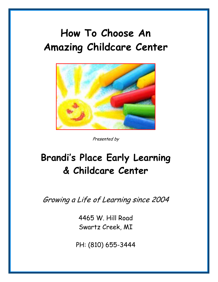# **How To Choose An Amazing Childcare Center**



Presented by

# **Brandi's Place Early Learning & Childcare Center**

Growing a Life of Learning since 2004

4465 W. Hill Road Swartz Creek, MI

PH: (810) 655-3444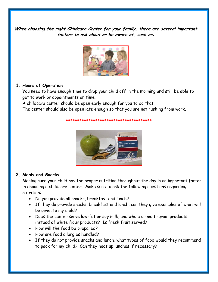**When choosing the right Childcare Center for your family, there are several important factors to ask about or be aware of, such as:**



#### **1. Hours of Operation**

You need to have enough time to drop your child off in the morning and still be able to get to work or appointments on time.

A childcare center should be open early enough for you to do that.

The center should also be open late enough so that you are not rushing from work.



**\*\*\*\*\*\*\*\*\*\*\*\*\*\*\*\*\*\*\*\*\*\*\*\*\*\*\*\*\*\*\*\*\*\*\*\*\*\***

#### **2. Meals and Snacks**

Making sure your child has the proper nutrition throughout the day is an important factor in choosing a childcare center. Make sure to ask the following questions regarding nutrition:

- Do you provide all snacks, breakfast and lunch?
- If they do provide snacks, breakfast and lunch, can they give examples of what will be given to my child?
- Does the center serve low-fat or soy milk, and whole or multi-grain products instead of white flour products? Is fresh fruit served?
- How will the food be prepared?
- How are food allergies handled?
- If they do not provide snacks and lunch, what types of food would they recommend to pack for my child? Can they heat up lunches if necessary?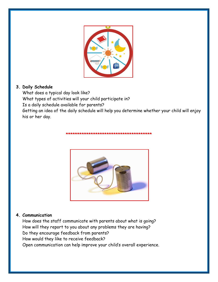

### **3. Daily Schedule**

What does a typical day look like? What types of activities will your child participate in? Is a daily schedule available for parents? Getting an idea of the daily schedule will help you determine whether your child will enjoy his or her day.

**\*\*\*\*\*\*\*\*\*\*\*\*\*\*\*\*\*\*\*\*\*\*\*\*\*\*\*\*\*\*\*\*\*\*\*\*\*\***



#### **4. Communication**

How does the staff communicate with parents about what is going? How will they report to you about any problems they are having? Do they encourage feedback from parents? How would they like to receive feedback? Open communication can help improve your child's overall experience.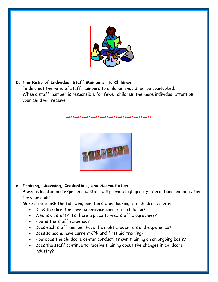

**5. The Ratio of Individual Staff Members to Children** Finding out the ratio of staff members to children should not be overlooked. When a staff member is responsible for fewer children, the more individual attention your child will receive.

**\*\*\*\*\*\*\*\*\*\*\*\*\*\*\*\*\*\*\*\*\*\*\*\*\*\*\*\*\*\*\*\*\*\*\*\*\*\***



# **6. Training, Licensing, Credentials, and Accreditation**

A well-educated and experienced staff will provide high quality interactions and activities for your child.

Make sure to ask the following questions when looking at a childcare center:

- Does the director have experience caring for children?
- Who is on staff? Is there a place to view staff biographies?
- How is the staff screened?
- Does each staff member have the right credentials and experience?
- Does someone have current CPR and first aid training?
- How does the childcare center conduct its own training on an ongoing basis?
- Does the staff continue to receive training about the changes in childcare industry?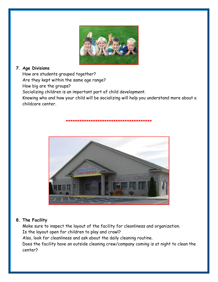

# **7. Age Divisions**

How are students grouped together?

Are they kept within the same age range?

How big are the groups?

Socializing children is an important part of child development.

Knowing who and how your child will be socializing will help you understand more about a childcare center.

**\*\*\*\*\*\*\*\*\*\*\*\*\*\*\*\*\*\*\*\*\*\*\*\*\*\*\*\*\*\*\*\*\*\*\*\*\*\***



### **8. The Facility**

Make sure to inspect the layout of the facility for cleanliness and organization. Is the layout open for children to play and crawl?

Also, look for cleanliness and ask about the daily cleaning routine.

Does the facility have an outside cleaning crew/company coming is at night to clean the center?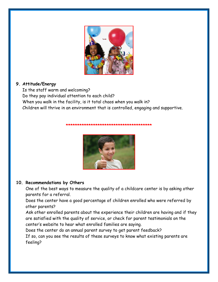

### **9. Attitude/Energy**

Is the staff warm and welcoming? Do they pay individual attention to each child? When you walk in the facility, is it total chaos when you walk in? Children will thrive in an environment that is controlled, engaging and supportive.

#### **\*\*\*\*\*\*\*\*\*\*\*\*\*\*\*\*\*\*\*\*\*\*\*\*\*\*\*\*\*\*\*\*\*\*\*\*\*\***



#### **10. Recommendations by Others**

One of the best ways to measure the quality of a childcare center is by asking other parents for a referral.

Does the center have a good percentage of children enrolled who were referred by other parents?

Ask other enrolled parents about the experience their children are having and if they are satisfied with the quality of service, or check for parent testimonials on the center's website to hear what enrolled families are saying.

Does the center do an annual parent survey to get parent feedback? If so, can you see the results of these surveys to know what existing parents are feeling?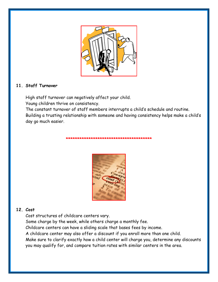

#### **11. Staff Turnover**

High staff turnover can negatively affect your child. Young children thrive on consistency.

The constant turnover of staff members interrupts a child's schedule and routine. Building a trusting relationship with someone and having consistency helps make a child's day go much easier.

**\*\*\*\*\*\*\*\*\*\*\*\*\*\*\*\*\*\*\*\*\*\*\*\*\*\*\*\*\*\*\*\*\*\*\*\*\*\***

#### **12. Cost**

Cost structures of childcare centers vary. Some charge by the week, while others charge a monthly fee. Childcare centers can have a sliding scale that bases fees by income. A childcare center may also offer a discount if you enroll more than one child. Make sure to clarify exactly how a child center will charge you, determine any discounts you may qualify for, and compare tuition rates with similar centers in the area.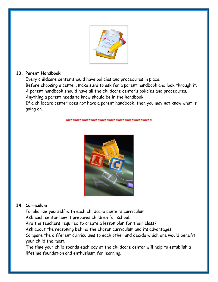

### **13. Parent Handbook**

Every childcare center should have policies and procedures in place.

Before choosing a center, make sure to ask for a parent handbook and look through it. A parent handbook should have all the childcare center's policies and procedures. Anything a parent needs to know should be in the handbook.

If a childcare center does not have a parent handbook, then you may not know what is going on.

**\*\*\*\*\*\*\*\*\*\*\*\*\*\*\*\*\*\*\*\*\*\*\*\*\*\*\*\*\*\*\*\*\*\*\*\*\*\***



# **14. Curriculum**

Familiarize yourself with each childcare center's curriculum.

Ask each center how it prepares children for school.

Are the teachers required to create a lesson plan for their class?

Ask about the reasoning behind the chosen curriculum and its advantages.

Compare the different curriculums to each other and decide which one would benefit your child the most.

The time your child spends each day at the childcare center will help to establish a lifetime foundation and enthusiasm for learning.